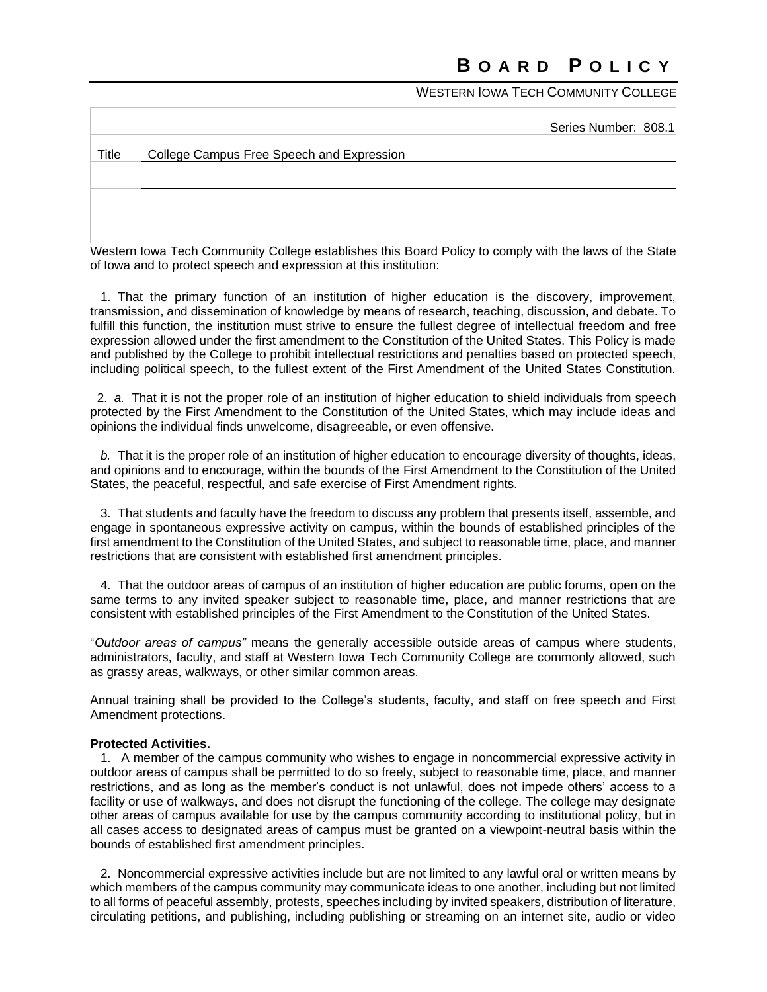# WESTERN **JOWA TECH COMMUNITY COLLEGE**

|       | Series Number: 808.1                      |
|-------|-------------------------------------------|
| Title | College Campus Free Speech and Expression |
|       |                                           |
|       |                                           |
|       |                                           |

Western Iowa Tech Community College establishes this Board Policy to comply with the laws of the State of Iowa and to protect speech and expression at this institution:

 1. That the primary function of an institution of higher education is the discovery, improvement, transmission, and dissemination of knowledge by means of research, teaching, discussion, and debate. To fulfill this function, the institution must strive to ensure the fullest degree of intellectual freedom and free expression allowed under the first amendment to the Constitution of the United States. This Policy is made and published by the College to prohibit intellectual restrictions and penalties based on protected speech, including political speech, to the fullest extent of the First Amendment of the United States Constitution.

 2. *a.* That it is not the proper role of an institution of higher education to shield individuals from speech protected by the First Amendment to the Constitution of the United States, which may include ideas and opinions the individual finds unwelcome, disagreeable, or even offensive.

 *b.* That it is the proper role of an institution of higher education to encourage diversity of thoughts, ideas, and opinions and to encourage, within the bounds of the First Amendment to the Constitution of the United States, the peaceful, respectful, and safe exercise of First Amendment rights.

 3. That students and faculty have the freedom to discuss any problem that presents itself, assemble, and engage in spontaneous expressive activity on campus, within the bounds of established principles of the first amendment to the Constitution of the United States, and subject to reasonable time, place, and manner restrictions that are consistent with established first amendment principles.

 4. That the outdoor areas of campus of an institution of higher education are public forums, open on the same terms to any invited speaker subject to reasonable time, place, and manner restrictions that are consistent with established principles of the First Amendment to the Constitution of the United States.

"*Outdoor areas of campus"* means the generally accessible outside areas of campus where students, administrators, faculty, and staff at Western Iowa Tech Community College are commonly allowed, such as grassy areas, walkways, or other similar common areas.

Annual training shall be provided to the College's students, faculty, and staff on free speech and First Amendment protections.

## **Protected Activities.**

 1. A member of the campus community who wishes to engage in noncommercial expressive activity in outdoor areas of campus shall be permitted to do so freely, subject to reasonable time, place, and manner restrictions, and as long as the member's conduct is not unlawful, does not impede others' access to a facility or use of walkways, and does not disrupt the functioning of the college. The college may designate other areas of campus available for use by the campus community according to institutional policy, but in all cases access to designated areas of campus must be granted on a viewpoint-neutral basis within the bounds of established first amendment principles.

 2. Noncommercial expressive activities include but are not limited to any lawful oral or written means by which members of the campus community may communicate ideas to one another, including but not limited to all forms of peaceful assembly, protests, speeches including by invited speakers, distribution of literature, circulating petitions, and publishing, including publishing or streaming on an internet site, audio or video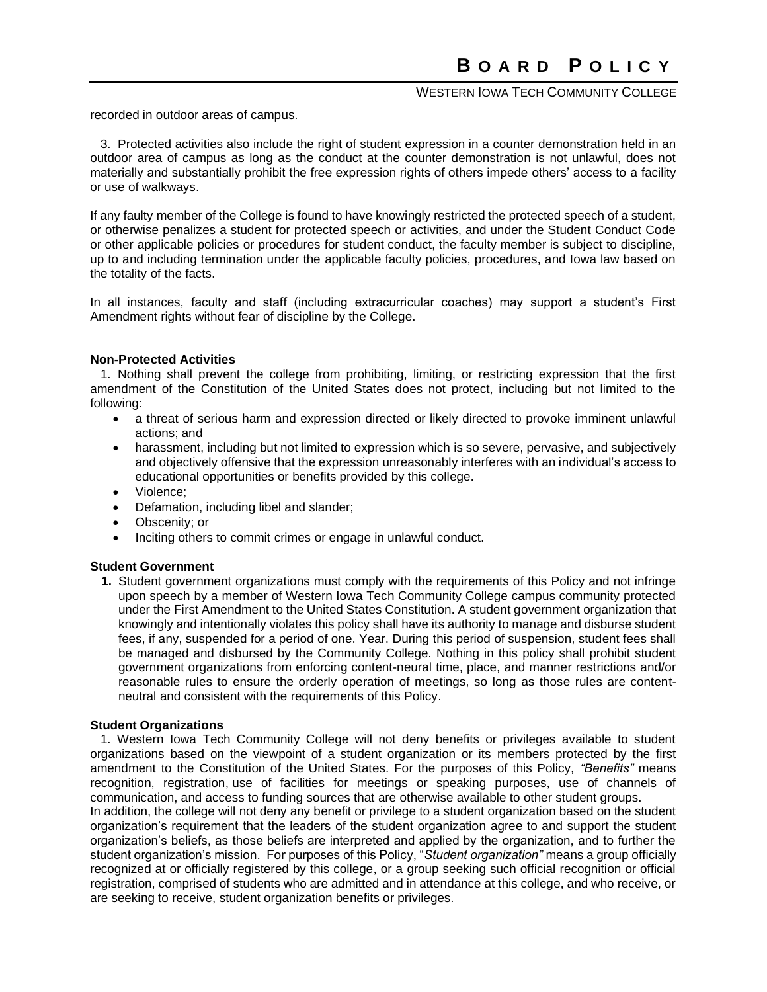# WESTERN IOWA TECH COMMUNITY COLLEGE

recorded in outdoor areas of campus.

 3. Protected activities also include the right of student expression in a counter demonstration held in an outdoor area of campus as long as the conduct at the counter demonstration is not unlawful, does not materially and substantially prohibit the free expression rights of others impede others' access to a facility or use of walkways.

If any faulty member of the College is found to have knowingly restricted the protected speech of a student, or otherwise penalizes a student for protected speech or activities, and under the Student Conduct Code or other applicable policies or procedures for student conduct, the faculty member is subject to discipline, up to and including termination under the applicable faculty policies, procedures, and Iowa law based on the totality of the facts.

In all instances, faculty and staff (including extracurricular coaches) may support a student's First Amendment rights without fear of discipline by the College.

#### **Non-Protected Activities**

 1. Nothing shall prevent the college from prohibiting, limiting, or restricting expression that the first amendment of the Constitution of the United States does not protect, including but not limited to the following:

- a threat of serious harm and expression directed or likely directed to provoke imminent unlawful actions; and
- harassment, including but not limited to expression which is so severe, pervasive, and subjectively and objectively offensive that the expression unreasonably interferes with an individual's access to educational opportunities or benefits provided by this college.
- Violence;
- Defamation, including libel and slander;
- Obscenity; or
- Inciting others to commit crimes or engage in unlawful conduct.

#### **Student Government**

**1.** Student government organizations must comply with the requirements of this Policy and not infringe upon speech by a member of Western Iowa Tech Community College campus community protected under the First Amendment to the United States Constitution. A student government organization that knowingly and intentionally violates this policy shall have its authority to manage and disburse student fees, if any, suspended for a period of one. Year. During this period of suspension, student fees shall be managed and disbursed by the Community College. Nothing in this policy shall prohibit student government organizations from enforcing content-neural time, place, and manner restrictions and/or reasonable rules to ensure the orderly operation of meetings, so long as those rules are contentneutral and consistent with the requirements of this Policy.

#### **Student Organizations**

 1. Western Iowa Tech Community College will not deny benefits or privileges available to student organizations based on the viewpoint of a student organization or its members protected by the first amendment to the Constitution of the United States. For the purposes of this Policy, *"Benefits"* means recognition, registration, use of facilities for meetings or speaking purposes, use of channels of communication, and access to funding sources that are otherwise available to other student groups.

In addition, the college will not deny any benefit or privilege to a student organization based on the student organization's requirement that the leaders of the student organization agree to and support the student organization's beliefs, as those beliefs are interpreted and applied by the organization, and to further the student organization's mission. For purposes of this Policy, "*Student organization"* means a group officially recognized at or officially registered by this college, or a group seeking such official recognition or official registration, comprised of students who are admitted and in attendance at this college, and who receive, or are seeking to receive, student organization benefits or privileges.